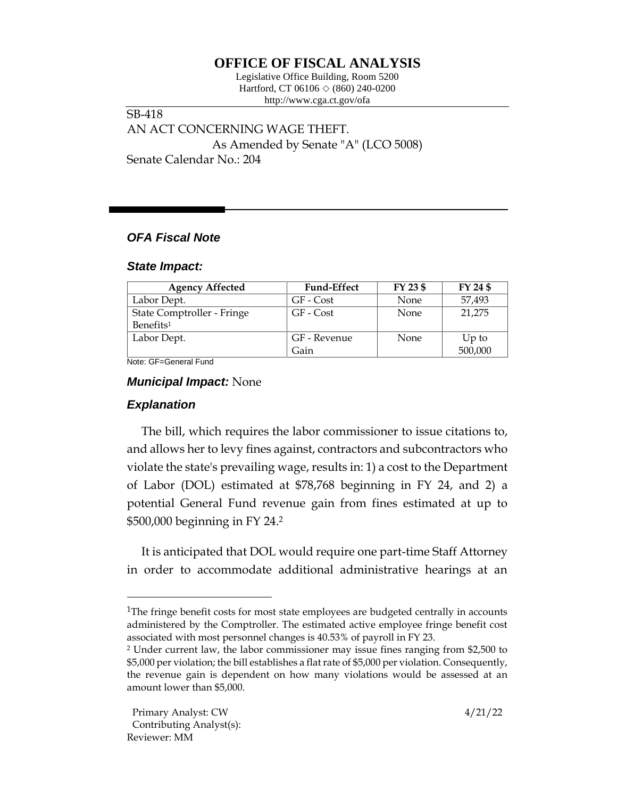# **OFFICE OF FISCAL ANALYSIS**

Legislative Office Building, Room 5200 Hartford, CT 06106  $\Diamond$  (860) 240-0200 http://www.cga.ct.gov/ofa

SB-418 AN ACT CONCERNING WAGE THEFT. As Amended by Senate "A" (LCO 5008) Senate Calendar No.: 204

# *OFA Fiscal Note*

#### *State Impact:*

| <b>Agency Affected</b>     | <b>Fund-Effect</b> | FY 23 \$ | FY 24 \$ |
|----------------------------|--------------------|----------|----------|
| Labor Dept.                | GF - Cost          | None     | 57,493   |
| State Comptroller - Fringe | GF - Cost          | None     | 21,275   |
| Benefits <sup>1</sup>      |                    |          |          |
| Labor Dept.                | GF - Revenue       | None     | $Up$ to  |
|                            | Gain               |          | 500,000  |

Note: GF=General Fund

### *Municipal Impact:* None

## *Explanation*

The bill, which requires the labor commissioner to issue citations to, and allows her to levy fines against, contractors and subcontractors who violate the state's prevailing wage, results in: 1) a cost to the Department of Labor (DOL) estimated at \$78,768 beginning in FY 24, and 2) a potential General Fund revenue gain from fines estimated at up to \$500,000 beginning in FY 24.<sup>2</sup>

It is anticipated that DOL would require one part-time Staff Attorney in order to accommodate additional administrative hearings at an

<sup>&</sup>lt;sup>1</sup>The fringe benefit costs for most state employees are budgeted centrally in accounts administered by the Comptroller. The estimated active employee fringe benefit cost associated with most personnel changes is 40.53% of payroll in FY 23.

<sup>2</sup> Under current law, the labor commissioner may issue fines ranging from \$2,500 to \$5,000 per violation; the bill establishes a flat rate of \$5,000 per violation. Consequently, the revenue gain is dependent on how many violations would be assessed at an amount lower than \$5,000.